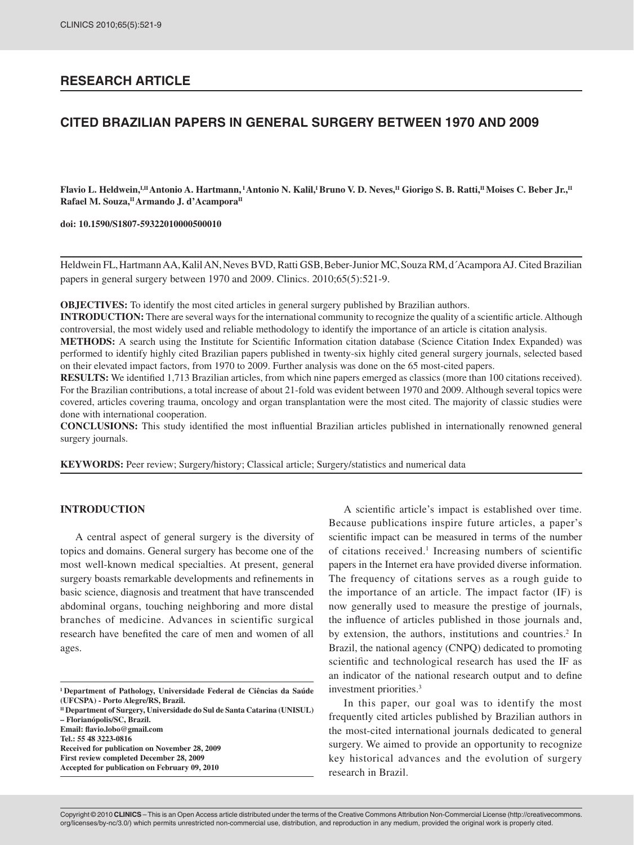# **RESEARCH ARTICLE**

# **CITED BRAZILIAN PAPERS IN GENERAL SURGERY BETWEEN 1970 AND 2009**

Flavio L. Heldwein,<sup>I,II</sup> Antonio A. Hartmann, <sup>I</sup> Antonio N. Kalil,<sup>I</sup> Bruno V. D. Neves,<sup>II</sup> Giorigo S. B. Ratti,<sup>II</sup> Moises C. Beber Jr.,<sup>II</sup> Rafael M. Souza,<sup>II</sup> Armando J. d'Acampora<sup>II</sup>

**doi: 10.1590/S1807-59322010000500010**

Heldwein FL, Hartmann AA, Kalil AN, Neves BVD, Ratti GSB, Beber-Junior MC, Souza RM, d´Acampora AJ. Cited Brazilian papers in general surgery between 1970 and 2009. Clinics. 2010;65(5):521-9.

**OBJECTIVES:** To identify the most cited articles in general surgery published by Brazilian authors.

**INTRODUCTION:** There are several ways for the international community to recognize the quality of a scientific article. Although controversial, the most widely used and reliable methodology to identify the importance of an article is citation analysis.

**METHODS:** A search using the Institute for Scientific Information citation database (Science Citation Index Expanded) was performed to identify highly cited Brazilian papers published in twenty-six highly cited general surgery journals, selected based on their elevated impact factors, from 1970 to 2009. Further analysis was done on the 65 most-cited papers.

**RESULTS:** We identified 1,713 Brazilian articles, from which nine papers emerged as classics (more than 100 citations received). For the Brazilian contributions, a total increase of about 21-fold was evident between 1970 and 2009. Although several topics were covered, articles covering trauma, oncology and organ transplantation were the most cited. The majority of classic studies were done with international cooperation.

**CONCLUSIONS:** This study identified the most influential Brazilian articles published in internationally renowned general surgery journals.

**KEYWORDS:** Peer review; Surgery/history; Classical article; Surgery/statistics and numerical data

#### **INTRODUCTION**

A central aspect of general surgery is the diversity of topics and domains. General surgery has become one of the most well-known medical specialties. At present, general surgery boasts remarkable developments and refinements in basic science, diagnosis and treatment that have transcended abdominal organs, touching neighboring and more distal branches of medicine. Advances in scientific surgical research have benefited the care of men and women of all ages.

**II Department of Surgery, Universidade do Sul de Santa Catarina (UNISUL) – Florianópolis/SC, Brazil. Email: flavio.lobo@gmail.com Tel.: 55 48 3223-0816 Received for publication on November 28, 2009**

**First review completed December 28, 2009**

A scientific article's impact is established over time. Because publications inspire future articles, a paper's scientific impact can be measured in terms of the number of citations received.<sup>1</sup> Increasing numbers of scientific papers in the Internet era have provided diverse information. The frequency of citations serves as a rough guide to the importance of an article. The impact factor (IF) is now generally used to measure the prestige of journals, the influence of articles published in those journals and, by extension, the authors, institutions and countries.<sup>2</sup> In Brazil, the national agency (CNPQ) dedicated to promoting scientific and technological research has used the IF as an indicator of the national research output and to define investment priorities.3

In this paper, our goal was to identify the most frequently cited articles published by Brazilian authors in the most-cited international journals dedicated to general surgery. We aimed to provide an opportunity to recognize key historical advances and the evolution of surgery research in Brazil.

Copyright © 2010 **CLINICS** – This is an Open Access article distributed under the terms of the Creative Commons Attribution Non-Commercial License (http://creativecommons. org/licenses/by-nc/3.0/) which permits unrestricted non-commercial use, distribution, and reproduction in any medium, provided the original work is properly cited.

**I Department of Pathology, Universidade Federal de Ciências da Saúde (UFCSPA) - Porto Alegre/RS, Brazil.** 

**Accepted for publication on February 09, 2010**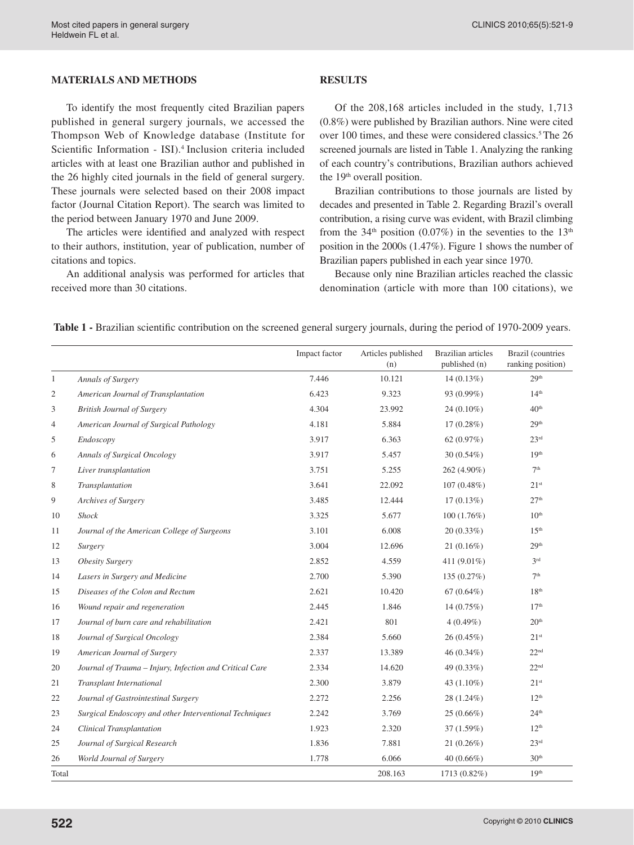## **MATERIALS AND METHODS**

To identify the most frequently cited Brazilian papers published in general surgery journals, we accessed the Thompson Web of Knowledge database (Institute for Scientific Information - ISI).<sup>4</sup> Inclusion criteria included articles with at least one Brazilian author and published in the 26 highly cited journals in the field of general surgery. These journals were selected based on their 2008 impact factor (Journal Citation Report). The search was limited to the period between January 1970 and June 2009.

The articles were identified and analyzed with respect to their authors, institution, year of publication, number of citations and topics.

An additional analysis was performed for articles that received more than 30 citations.

### **RESULTS**

Of the 208,168 articles included in the study, 1,713 (0.8%) were published by Brazilian authors. Nine were cited over 100 times, and these were considered classics.<sup>5</sup> The 26 screened journals are listed in Table 1. Analyzing the ranking of each country's contributions, Brazilian authors achieved the 19<sup>th</sup> overall position.

Brazilian contributions to those journals are listed by decades and presented in Table 2. Regarding Brazil's overall contribution, a rising curve was evident, with Brazil climbing from the 34<sup>th</sup> position (0.07%) in the seventies to the 13<sup>th</sup> position in the 2000s (1.47%). Figure 1 shows the number of Brazilian papers published in each year since 1970.

Because only nine Brazilian articles reached the classic denomination (article with more than 100 citations), we

|              |                                                         | Impact factor | Articles published<br>(n) | <b>Brazilian</b> articles<br>published (n) | <b>Brazil</b> (countries<br>ranking position) |
|--------------|---------------------------------------------------------|---------------|---------------------------|--------------------------------------------|-----------------------------------------------|
| $\mathbf{1}$ | Annals of Surgery                                       | 7.446         | 10.121                    | 14(0.13%)                                  | 29 <sup>th</sup>                              |
| 2            | American Journal of Transplantation                     | 6.423         | 9.323                     | 93 (0.99%)                                 | 14 <sup>th</sup>                              |
| 3            | <b>British Journal of Surgery</b>                       | 4.304         | 23.992                    | 24 (0.10%)                                 | 40 <sup>th</sup>                              |
| 4            | American Journal of Surgical Pathology                  | 4.181         | 5.884                     | $17(0.28\%)$                               | 29 <sup>th</sup>                              |
| 5            | Endoscopy                                               | 3.917         | 6.363                     | 62 $(0.97%)$                               | 23 <sup>rd</sup>                              |
| 6            | Annals of Surgical Oncology                             | 3.917         | 5.457                     | 30 (0.54%)                                 | 19 <sup>th</sup>                              |
| 7            | Liver transplantation                                   | 3.751         | 5.255                     | 262 (4.90%)                                | 7 <sup>th</sup>                               |
| 8            | Transplantation                                         | 3.641         | 22.092                    | $107(0.48\%)$                              | 21 <sup>st</sup>                              |
| 9            | Archives of Surgery                                     | 3.485         | 12.444                    | $17(0.13\%)$                               | 27 <sup>th</sup>                              |
| 10           | <b>Shock</b>                                            | 3.325         | 5.677                     | 100(1.76%)                                 | 10 <sup>th</sup>                              |
| 11           | Journal of the American College of Surgeons             | 3.101         | 6.008                     | $20(0.33\%)$                               | 15 <sup>th</sup>                              |
| 12           | Surgery                                                 | 3.004         | 12.696                    | $21(0.16\%)$                               | 29 <sup>th</sup>                              |
| 13           | <b>Obesity Surgery</b>                                  | 2.852         | 4.559                     | 411 (9.01%)                                | 3 <sup>rd</sup>                               |
| 14           | Lasers in Surgery and Medicine                          | 2.700         | 5.390                     | 135 (0.27%)                                | 7 <sup>th</sup>                               |
| 15           | Diseases of the Colon and Rectum                        | 2.621         | 10.420                    | 67 $(0.64\%)$                              | 18 <sup>th</sup>                              |
| 16           | Wound repair and regeneration                           | 2.445         | 1.846                     | 14 (0.75%)                                 | 17 <sup>th</sup>                              |
| 17           | Journal of burn care and rehabilitation                 | 2.421         | 801                       | $4(0.49\%)$                                | 20 <sup>th</sup>                              |
| 18           | Journal of Surgical Oncology                            | 2.384         | 5.660                     | $26(0.45\%)$                               | 21 <sup>st</sup>                              |
| 19           | American Journal of Surgery                             | 2.337         | 13.389                    | 46 (0.34%)                                 | 22 <sup>nd</sup>                              |
| 20           | Journal of Trauma - Injury, Infection and Critical Care | 2.334         | 14.620                    | 49 (0.33%)                                 | 22 <sup>nd</sup>                              |
| 21           | <b>Transplant International</b>                         | 2.300         | 3.879                     | 43 (1.10%)                                 | 21 <sup>st</sup>                              |
| 22           | Journal of Gastrointestinal Surgery                     | 2.272         | 2.256                     | 28 (1.24%)                                 | 12 <sup>th</sup>                              |
| 23           | Surgical Endoscopy and other Interventional Techniques  | 2.242         | 3.769                     | 25 (0.66%)                                 | 24 <sup>th</sup>                              |
| 24           | <b>Clinical Transplantation</b>                         | 1.923         | 2.320                     | 37(1.59%)                                  | 12 <sup>th</sup>                              |
| 25           | Journal of Surgical Research                            | 1.836         | 7.881                     | $21(0.26\%)$                               | 23 <sup>rd</sup>                              |
| 26           | World Journal of Surgery                                | 1.778         | 6.066                     | 40 $(0.66\%)$                              | 30 <sup>th</sup>                              |
| Total        |                                                         |               | 208.163                   | 1713 (0.82%)                               | 19 <sup>th</sup>                              |

 **Table 1 -** Brazilian scientific contribution on the screened general surgery journals, during the period of 1970-2009 years.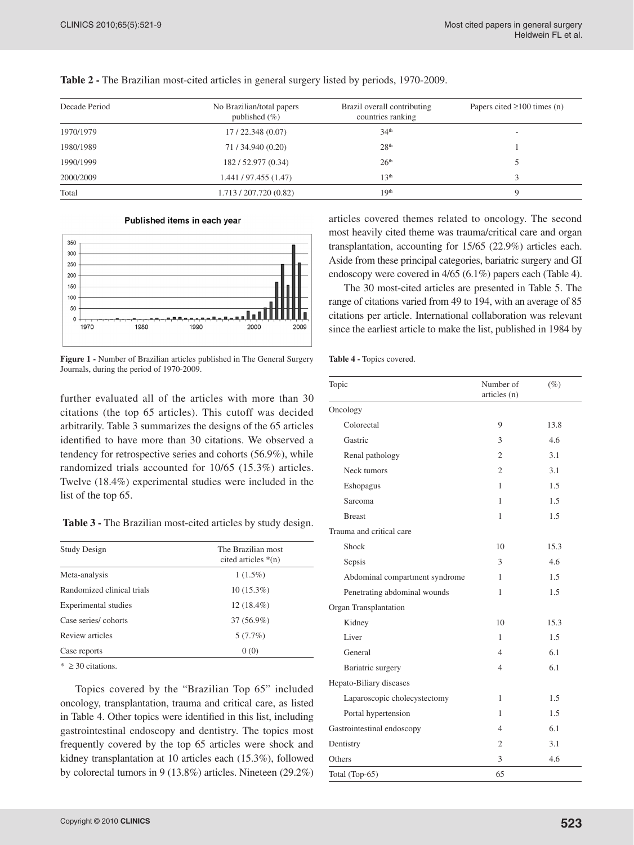| Decade Period | No Brazilian/total papers<br>published $(\% )$ | Brazil overall contributing<br>countries ranking | Papers cited $\geq 100$ times (n) |  |
|---------------|------------------------------------------------|--------------------------------------------------|-----------------------------------|--|
| 1970/1979     | 17/22.348(0.07)                                | 34 <sup>th</sup>                                 | $\overline{\phantom{a}}$          |  |
| 1980/1989     | 71/34.940 (0.20)                               | 28 <sup>th</sup>                                 |                                   |  |
| 1990/1999     | 182/52.977 (0.34)                              | 26 <sup>th</sup>                                 |                                   |  |
| 2000/2009     | 1.441/97.455(1.47)                             | 13 <sup>th</sup>                                 |                                   |  |
| Total         | 1.713 / 207.720 (0.82)                         | 19 <sup>th</sup>                                 |                                   |  |

**Table 2 -** The Brazilian most-cited articles in general surgery listed by periods, 1970-2009.

#### Published items in each year



**Figure 1 -** Number of Brazilian articles published in The General Surgery Journals, during the period of 1970-2009.

further evaluated all of the articles with more than 30 citations (the top 65 articles). This cutoff was decided arbitrarily. Table 3 summarizes the designs of the 65 articles identified to have more than 30 citations. We observed a tendency for retrospective series and cohorts (56.9%), while randomized trials accounted for 10/65 (15.3%) articles. Twelve (18.4%) experimental studies were included in the list of the top 65.

**Table 3 -** The Brazilian most-cited articles by study design.

| <b>Study Design</b>        | The Brazilian most<br>cited articles $*(n)$ |
|----------------------------|---------------------------------------------|
| Meta-analysis              | $1(1.5\%)$                                  |
| Randomized clinical trials | $10(15.3\%)$                                |
| Experimental studies       | 12 (18.4%)                                  |
| Case series/cohorts        | $37(56.9\%)$                                |
| Review articles            | 5(7.7%)                                     |
| Case reports               | 0(0)                                        |

 $* \geq 30$  citations.

Topics covered by the "Brazilian Top 65" included oncology, transplantation, trauma and critical care, as listed in Table 4. Other topics were identified in this list, including gastrointestinal endoscopy and dentistry. The topics most frequently covered by the top 65 articles were shock and kidney transplantation at 10 articles each (15.3%), followed by colorectal tumors in 9 (13.8%) articles. Nineteen (29.2%)

articles covered themes related to oncology. The second most heavily cited theme was trauma/critical care and organ transplantation, accounting for 15/65 (22.9%) articles each. Aside from these principal categories, bariatric surgery and GI endoscopy were covered in 4/65 (6.1%) papers each (Table 4).

The 30 most-cited articles are presented in Table 5. The range of citations varied from 49 to 194, with an average of 85 citations per article. International collaboration was relevant since the earliest article to make the list, published in 1984 by

| Table 4 - Topics covered. |  |  |
|---------------------------|--|--|
|---------------------------|--|--|

| Topic                          | Number of<br>articles (n) | $(\%)$ |
|--------------------------------|---------------------------|--------|
| Oncology                       |                           |        |
| Colorectal                     | 9                         | 13.8   |
| Gastric                        | 3                         | 4.6    |
| Renal pathology                | $\overline{2}$            | 3.1    |
| Neck tumors                    | $\overline{2}$            | 3.1    |
| Eshopagus                      | 1                         | 1.5    |
| Sarcoma                        | 1                         | 1.5    |
| <b>Breast</b>                  | 1                         | 1.5    |
| Trauma and critical care       |                           |        |
| Shock                          | 10                        | 15.3   |
| Sepsis                         | 3                         | 4.6    |
| Abdominal compartment syndrome | 1                         | 1.5    |
| Penetrating abdominal wounds   | 1                         | 1.5    |
| Organ Transplantation          |                           |        |
| Kidney                         | 10                        | 15.3   |
| Liver                          | 1                         | 1.5    |
| General                        | $\overline{4}$            | 6.1    |
| Bariatric surgery              | $\overline{4}$            | 6.1    |
| Hepato-Biliary diseases        |                           |        |
| Laparoscopic cholecystectomy   | 1                         | 1.5    |
| Portal hypertension            | 1                         | 1.5    |
| Gastrointestinal endoscopy     | $\overline{4}$            | 6.1    |
| Dentistry                      | $\overline{2}$            | 3.1    |
| Others                         | 3                         | 4.6    |
| Total (Top-65)                 | 65                        |        |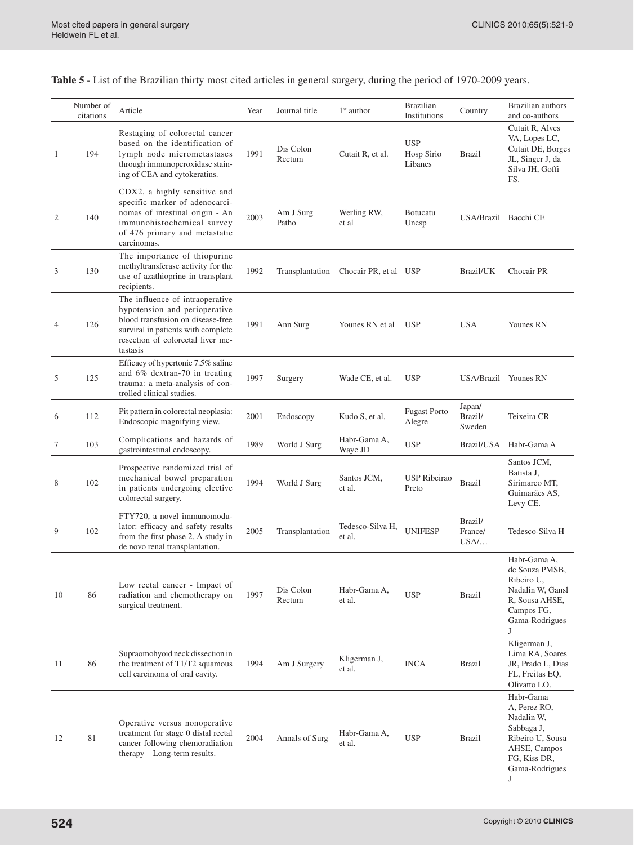**Table 5 -** List of the Brazilian thirty most cited articles in general surgery, during the period of 1970-2009 years.

|    | Number of<br>citations | Article                                                                                                                                                                                      | Year | Journal title       | $1st$ author               | <b>Brazilian</b><br>Institutions    | Country                      | Brazilian authors<br>and co-authors                                                                                              |
|----|------------------------|----------------------------------------------------------------------------------------------------------------------------------------------------------------------------------------------|------|---------------------|----------------------------|-------------------------------------|------------------------------|----------------------------------------------------------------------------------------------------------------------------------|
| 1  | 194                    | Restaging of colorectal cancer<br>based on the identification of<br>lymph node micrometastases<br>through immunoperoxidase stain-<br>ing of CEA and cytokeratins.                            | 1991 | Dis Colon<br>Rectum | Cutait R, et al.           | <b>USP</b><br>Hosp Sirio<br>Libanes | <b>Brazil</b>                | Cutait R, Alves<br>VA, Lopes LC,<br>Cutait DE, Borges<br>JL, Singer J, da<br>Silva JH, Goffi<br>FS.                              |
| 2  | 140                    | CDX2, a highly sensitive and<br>specific marker of adenocarci-<br>nomas of intestinal origin - An<br>immunohistochemical survey<br>of 476 primary and metastatic<br>carcinomas.              | 2003 | Am J Surg<br>Patho  | Werling RW,<br>et al       | <b>Botucatu</b><br>Unesp            | USA/Brazil Bacchi CE         |                                                                                                                                  |
| 3  | 130                    | The importance of thiopurine<br>methyltransferase activity for the<br>use of azathioprine in transplant<br>recipients.                                                                       | 1992 | Transplantation     | Chocair PR, et al USP      |                                     | Brazil/UK                    | Chocair PR                                                                                                                       |
| 4  | 126                    | The influence of intraoperative<br>hypotension and perioperative<br>blood transfusion on disease-free<br>surviral in patients with complete<br>resection of colorectal liver me-<br>tastasis | 1991 | Ann Surg            | Younes RN et al            | <b>USP</b>                          | <b>USA</b>                   | Younes RN                                                                                                                        |
| 5  | 125                    | Efficacy of hypertonic 7.5% saline<br>and 6% dextran-70 in treating<br>trauma: a meta-analysis of con-<br>trolled clinical studies.                                                          | 1997 | Surgery             | Wade CE, et al.            | <b>USP</b>                          |                              | USA/Brazil Younes RN                                                                                                             |
| 6  | 112                    | Pit pattern in colorectal neoplasia:<br>Endoscopic magnifying view.                                                                                                                          | 2001 | Endoscopy           | Kudo S, et al.             | <b>Fugast Porto</b><br>Alegre       | Japan/<br>Brazil/<br>Sweden  | Teixeira CR                                                                                                                      |
| 7  | 103                    | Complications and hazards of<br>gastrointestinal endoscopy.                                                                                                                                  | 1989 | World J Surg        | Habr-Gama A,<br>Waye JD    | USP                                 |                              | Brazil/USA Habr-Gama A                                                                                                           |
| 8  | 102                    | Prospective randomized trial of<br>mechanical bowel preparation<br>in patients undergoing elective<br>colorectal surgery.                                                                    | 1994 | World J Surg        | Santos JCM,<br>et al.      | USP Ribeirao<br>Preto               | <b>Brazil</b>                | Santos JCM,<br>Batista J,<br>Sirimarco MT,<br>Guimarães AS,<br>Levy CE.                                                          |
| 9  | 102                    | FTY720, a novel immunomodu-<br>lator: efficacy and safety results<br>from the first phase 2. A study in<br>de novo renal transplantation.                                                    | 2005 | Transplantation     | Tedesco-Silva H,<br>et al. | <b>UNIFESP</b>                      | Brazil/<br>France/<br>$USA/$ | Tedesco-Silva H                                                                                                                  |
| 10 | 86                     | Low rectal cancer - Impact of<br>radiation and chemotherapy on<br>surgical treatment.                                                                                                        | 1997 | Dis Colon<br>Rectum | Habr-Gama A,<br>et al.     | <b>USP</b>                          | <b>Brazil</b>                | Habr-Gama A,<br>de Souza PMSB,<br>Ribeiro U,<br>Nadalin W, Gansl<br>R, Sousa AHSE,<br>Campos FG,<br>Gama-Rodrigues<br>J          |
| 11 | 86                     | Supraomohyoid neck dissection in<br>the treatment of T1/T2 squamous<br>cell carcinoma of oral cavity.                                                                                        | 1994 | Am J Surgery        | Kligerman J,<br>et al.     | <b>INCA</b>                         | <b>Brazil</b>                | Kligerman J,<br>Lima RA, Soares<br>JR, Prado L, Dias<br>FL, Freitas EQ,<br>Olivatto LO.                                          |
| 12 | 81                     | Operative versus nonoperative<br>treatment for stage 0 distal rectal<br>cancer following chemoradiation<br>therapy - Long-term results.                                                      | 2004 | Annals of Surg      | Habr-Gama A,<br>et al.     | <b>USP</b>                          | <b>Brazil</b>                | Habr-Gama<br>A, Perez RO,<br>Nadalin W,<br>Sabbaga J,<br>Ribeiro U, Sousa<br>AHSE, Campos<br>FG, Kiss DR,<br>Gama-Rodrigues<br>J |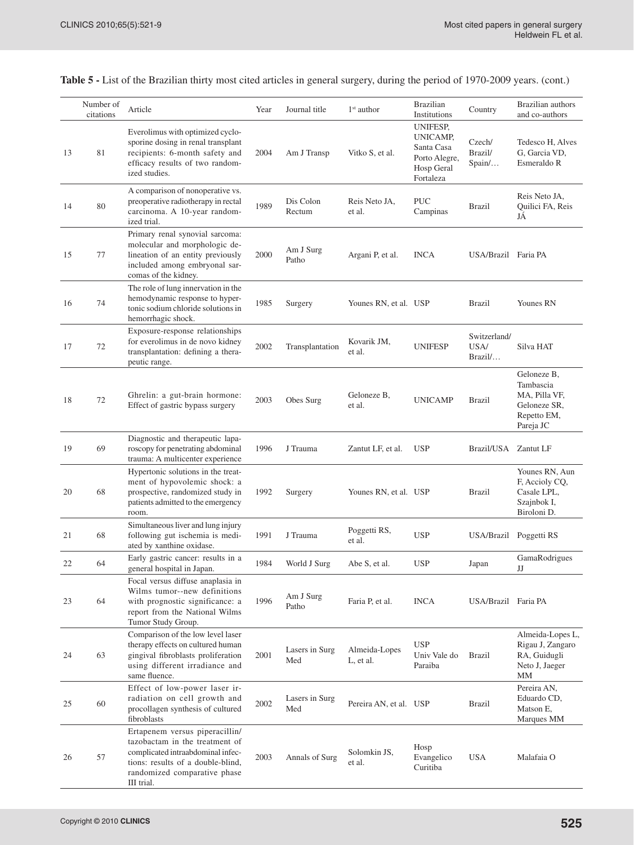|    | Number of<br>citations | Article                                                                                                                                                                                  | Year | Journal title         | $1st$ author               | <b>Brazilian</b><br>Institutions                                               | Country                         | Brazilian authors<br>and co-authors                                                   |
|----|------------------------|------------------------------------------------------------------------------------------------------------------------------------------------------------------------------------------|------|-----------------------|----------------------------|--------------------------------------------------------------------------------|---------------------------------|---------------------------------------------------------------------------------------|
| 13 | 81                     | Everolimus with optimized cyclo-<br>sporine dosing in renal transplant<br>recipients: 6-month safety and<br>efficacy results of two random-<br>ized studies.                             | 2004 | Am J Transp           | Vitko S, et al.            | UNIFESP,<br>UNICAMP,<br>Santa Casa<br>Porto Alegre,<br>Hosp Geral<br>Fortaleza | Czech/<br>Brazil/<br>Spain/     | Tedesco H, Alves<br>G, Garcia VD,<br>Esmeraldo R                                      |
| 14 | 80                     | A comparison of nonoperative vs.<br>preoperative radiotherapy in rectal<br>carcinoma. A 10-year random-<br>ized trial.                                                                   | 1989 | Dis Colon<br>Rectum   | Reis Neto JA,<br>et al.    | <b>PUC</b><br>Campinas                                                         | <b>Brazil</b>                   | Reis Neto JA,<br>Quilici FA, Reis<br>JÁ                                               |
| 15 | 77                     | Primary renal synovial sarcoma:<br>molecular and morphologic de-<br>lineation of an entity previously<br>included among embryonal sar-<br>comas of the kidney.                           | 2000 | Am J Surg<br>Patho    | Argani P, et al.           | <b>INCA</b>                                                                    | USA/Brazil Faria PA             |                                                                                       |
| 16 | 74                     | The role of lung innervation in the<br>hemodynamic response to hyper-<br>tonic sodium chloride solutions in<br>hemorrhagic shock.                                                        | 1985 | Surgery               | Younes RN, et al. USP      |                                                                                | <b>Brazil</b>                   | Younes RN                                                                             |
| 17 | 72                     | Exposure-response relationships<br>for everolimus in de novo kidney<br>transplantation: defining a thera-<br>peutic range.                                                               | 2002 | Transplantation       | Kovarik JM,<br>et al.      | <b>UNIFESP</b>                                                                 | Switzerland/<br>USA/<br>Brazil/ | Silva HAT                                                                             |
| 18 | 72                     | Ghrelin: a gut-brain hormone:<br>Effect of gastric bypass surgery                                                                                                                        | 2003 | Obes Surg             | Geloneze B,<br>et al.      | <b>UNICAMP</b>                                                                 | <b>Brazil</b>                   | Geloneze B,<br>Tambascia<br>MA, Pilla VF,<br>Geloneze SR,<br>Repetto EM,<br>Pareja JC |
| 19 | 69                     | Diagnostic and therapeutic lapa-<br>roscopy for penetrating abdominal<br>trauma: A multicenter experience                                                                                | 1996 | J Trauma              | Zantut LF, et al.          | <b>USP</b>                                                                     | Brazil/USA Zantut LF            |                                                                                       |
| 20 | 68                     | Hypertonic solutions in the treat-<br>ment of hypovolemic shock: a<br>prospective, randomized study in<br>patients admitted to the emergency<br>room.                                    | 1992 | Surgery               | Younes RN, et al. USP      |                                                                                | <b>Brazil</b>                   | Younes RN, Aun<br>F, Accioly CQ,<br>Casale LPL,<br>Szajnbok I,<br>Biroloni D.         |
| 21 | 68                     | Simultaneous liver and lung injury<br>following gut ischemia is medi-<br>ated by xanthine oxidase.                                                                                       | 1991 | J Trauma              | Poggetti RS,<br>et al.     | <b>USP</b>                                                                     | USA/Brazil Poggetti RS          |                                                                                       |
| 22 | 64                     | Early gastric cancer: results in a<br>general hospital in Japan.                                                                                                                         | 1984 | World J Surg          | Abe S, et al.              | <b>USP</b>                                                                     | Japan                           | GamaRodrigues<br>JJ                                                                   |
| 23 | 64                     | Focal versus diffuse anaplasia in<br>Wilms tumor--new definitions<br>with prognostic significance: a<br>report from the National Wilms<br>Tumor Study Group.                             | 1996 | Am J Surg<br>Patho    | Faria P, et al.            | <b>INCA</b>                                                                    | USA/Brazil Faria PA             |                                                                                       |
| 24 | 63                     | Comparison of the low level laser<br>therapy effects on cultured human<br>gingival fibroblasts proliferation<br>using different irradiance and<br>same fluence.                          | 2001 | Lasers in Surg<br>Med | Almeida-Lopes<br>L, et al. | <b>USP</b><br>Univ Vale do<br>Paraiba                                          | <b>Brazil</b>                   | Almeida-Lopes L,<br>Rigau J, Zangaro<br>RA, Guidugli<br>Neto J, Jaeger<br>MM          |
| 25 | 60                     | Effect of low-power laser ir-<br>radiation on cell growth and<br>procollagen synthesis of cultured<br>fibroblasts                                                                        | 2002 | Lasers in Surg<br>Med | Pereira AN, et al. USP     |                                                                                | <b>Brazil</b>                   | Pereira AN,<br>Eduardo CD,<br>Matson E,<br>Marques MM                                 |
| 26 | 57                     | Ertapenem versus piperacillin/<br>tazobactam in the treatment of<br>complicated intraabdominal infec-<br>tions: results of a double-blind,<br>randomized comparative phase<br>III trial. | 2003 | Annals of Surg        | Solomkin JS,<br>et al.     | Hosp<br>Evangelico<br>Curitiba                                                 | <b>USA</b>                      | Malafaia O                                                                            |

**Table 5 -** List of the Brazilian thirty most cited articles in general surgery, during the period of 1970-2009 years. (cont.)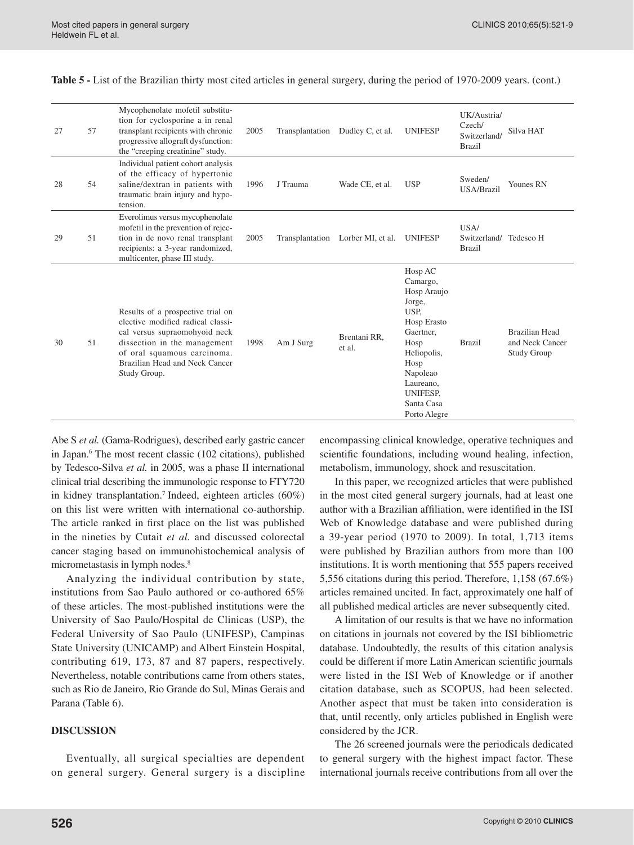| 27 | 57 | Mycophenolate mofetil substitu-<br>tion for cyclosporine a in renal<br>transplant recipients with chronic<br>progressive allograft dysfunction:<br>the "creeping creatinine" study.                                      | 2005 |                 | Transplantation Dudley C, et al. | <b>UNIFESP</b>                                                                                                                                                                     | UK/Austria/<br>Czech/<br>Switzerland/<br><b>Brazil</b> | Silva HAT                                                      |
|----|----|--------------------------------------------------------------------------------------------------------------------------------------------------------------------------------------------------------------------------|------|-----------------|----------------------------------|------------------------------------------------------------------------------------------------------------------------------------------------------------------------------------|--------------------------------------------------------|----------------------------------------------------------------|
| 28 | 54 | Individual patient cohort analysis<br>of the efficacy of hypertonic<br>saline/dextran in patients with<br>traumatic brain injury and hypo-<br>tension.                                                                   | 1996 | J Trauma        | Wade CE, et al.                  | <b>USP</b>                                                                                                                                                                         | Sweden/<br>USA/Brazil                                  | Younes RN                                                      |
| 29 | 51 | Everolimus versus mycophenolate<br>mofetil in the prevention of rejec-<br>tion in de novo renal transplant<br>recipients: a 3-year randomized,<br>multicenter, phase III study.                                          | 2005 | Transplantation | Lorber MI, et al.                | <b>UNIFESP</b>                                                                                                                                                                     | USA/<br>Switzerland/<br><b>Brazil</b>                  | Tedesco H                                                      |
| 30 | 51 | Results of a prospective trial on<br>elective modified radical classi-<br>cal versus supraomohyoid neck<br>dissection in the management<br>of oral squamous carcinoma.<br>Brazilian Head and Neck Cancer<br>Study Group. | 1998 | Am J Surg       | Brentani RR,<br>et al.           | Hosp AC<br>Camargo,<br>Hosp Araujo<br>Jorge,<br>USP.<br>Hosp Erasto<br>Gaertner,<br>Hosp<br>Heliopolis,<br>Hosp<br>Napoleao<br>Laureano,<br>UNIFESP,<br>Santa Casa<br>Porto Alegre | <b>Brazil</b>                                          | <b>Brazilian Head</b><br>and Neck Cancer<br><b>Study Group</b> |

**Table 5 -** List of the Brazilian thirty most cited articles in general surgery, during the period of 1970-2009 years. (cont.)

Abe S *et al.* (Gama-Rodrigues), described early gastric cancer in Japan.<sup>6</sup> The most recent classic (102 citations), published by Tedesco-Silva *et al.* in 2005, was a phase II international clinical trial describing the immunologic response to FTY720 in kidney transplantation.<sup>7</sup> Indeed, eighteen articles  $(60\%)$ on this list were written with international co-authorship. The article ranked in first place on the list was published in the nineties by Cutait *et al.* and discussed colorectal cancer staging based on immunohistochemical analysis of micrometastasis in lymph nodes.8

Analyzing the individual contribution by state, institutions from Sao Paulo authored or co-authored 65% of these articles. The most-published institutions were the University of Sao Paulo/Hospital de Clinicas (USP), the Federal University of Sao Paulo (UNIFESP), Campinas State University (UNICAMP) and Albert Einstein Hospital, contributing 619, 173, 87 and 87 papers, respectively. Nevertheless, notable contributions came from others states, such as Rio de Janeiro, Rio Grande do Sul, Minas Gerais and Parana (Table 6).

## **DISCUSSION**

Eventually, all surgical specialties are dependent on general surgery. General surgery is a discipline encompassing clinical knowledge, operative techniques and scientific foundations, including wound healing, infection, metabolism, immunology, shock and resuscitation.

In this paper, we recognized articles that were published in the most cited general surgery journals, had at least one author with a Brazilian affiliation, were identified in the ISI Web of Knowledge database and were published during a 39-year period (1970 to 2009). In total, 1,713 items were published by Brazilian authors from more than 100 institutions. It is worth mentioning that 555 papers received 5,556 citations during this period. Therefore, 1,158 (67.6%) articles remained uncited. In fact, approximately one half of all published medical articles are never subsequently cited.

A limitation of our results is that we have no information on citations in journals not covered by the ISI bibliometric database. Undoubtedly, the results of this citation analysis could be different if more Latin American scientific journals were listed in the ISI Web of Knowledge or if another citation database, such as SCOPUS, had been selected. Another aspect that must be taken into consideration is that, until recently, only articles published in English were considered by the JCR.

The 26 screened journals were the periodicals dedicated to general surgery with the highest impact factor. These international journals receive contributions from all over the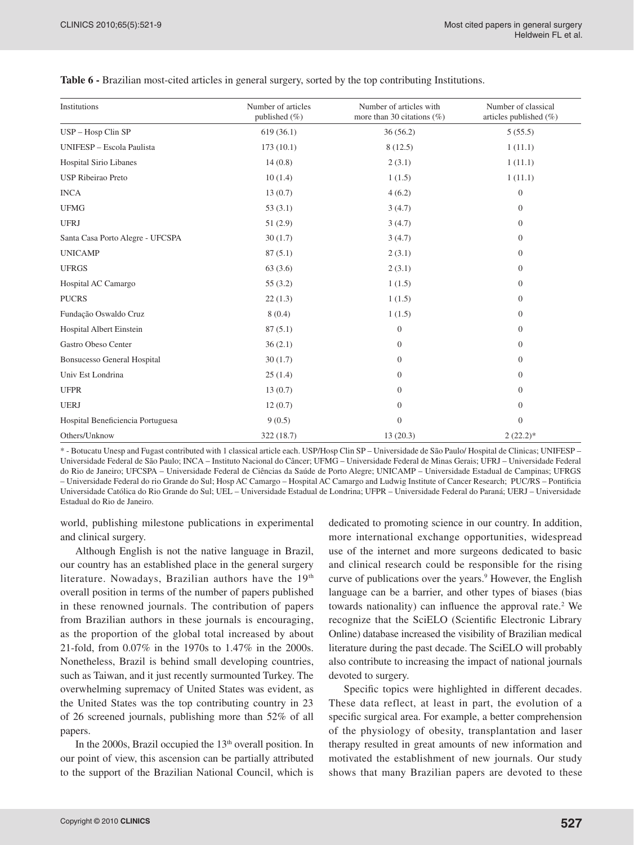| Institutions                       | Number of articles<br>published $(\% )$ | Number of articles with<br>more than 30 citations $(\%)$ | Number of classical<br>articles published (%) |
|------------------------------------|-----------------------------------------|----------------------------------------------------------|-----------------------------------------------|
| USP - Hosp Clin SP                 | 619(36.1)                               | 36(56.2)                                                 | 5(55.5)                                       |
| UNIFESP - Escola Paulista          | 173(10.1)                               | 8(12.5)                                                  | 1(11.1)                                       |
| <b>Hospital Sirio Libanes</b>      | 14(0.8)                                 | 2(3.1)                                                   | 1(11.1)                                       |
| <b>USP Ribeirao Preto</b>          | 10(1.4)                                 | 1(1.5)                                                   | 1(11.1)                                       |
| <b>INCA</b>                        | 13(0.7)                                 | 4(6.2)                                                   | $\boldsymbol{0}$                              |
| <b>UFMG</b>                        | 53(3.1)                                 | 3(4.7)                                                   | $\boldsymbol{0}$                              |
| <b>UFRJ</b>                        | 51(2.9)                                 | 3(4.7)                                                   | $\mathbf{0}$                                  |
| Santa Casa Porto Alegre - UFCSPA   | 30(1.7)                                 | 3(4.7)                                                   | $\boldsymbol{0}$                              |
| <b>UNICAMP</b>                     | 87(5.1)                                 | 2(3.1)                                                   | $\overline{0}$                                |
| <b>UFRGS</b>                       | 63(3.6)                                 | 2(3.1)                                                   | $\overline{0}$                                |
| Hospital AC Camargo                | 55(3.2)                                 | 1(1.5)                                                   | $\mathbf{0}$                                  |
| <b>PUCRS</b>                       | 22(1.3)                                 | 1(1.5)                                                   | $\boldsymbol{0}$                              |
| Fundação Oswaldo Cruz              | 8(0.4)                                  | 1(1.5)                                                   | $\overline{0}$                                |
| Hospital Albert Einstein           | 87(5.1)                                 | $\overline{0}$                                           | $\overline{0}$                                |
| Gastro Obeso Center                | 36(2.1)                                 | $\overline{0}$                                           | $\boldsymbol{0}$                              |
| <b>Bonsucesso General Hospital</b> | 30(1.7)                                 | $\overline{0}$                                           | $\boldsymbol{0}$                              |
| Univ Est Londrina                  | 25(1.4)                                 | $\theta$                                                 | $\mathbf{0}$                                  |
| <b>UFPR</b>                        | 13(0.7)                                 | $\overline{0}$                                           | $\boldsymbol{0}$                              |
| <b>UERJ</b>                        | 12(0.7)                                 | $\Omega$                                                 | $\boldsymbol{0}$                              |
| Hospital Beneficiencia Portuguesa  | 9(0.5)                                  | $\mathbf{0}$                                             | $\boldsymbol{0}$                              |
| Others/Unknow                      | 322 (18.7)                              | 13(20.3)                                                 | $2(22.2)*$                                    |

**Table 6 -** Brazilian most-cited articles in general surgery, sorted by the top contributing Institutions.

\* - Botucatu Unesp and Fugast contributed with 1 classical article each. USP/Hosp Clin SP – Universidade de São Paulo/ Hospital de Clinicas; UNIFESP – Universidade Federal de São Paulo; INCA – Instituto Nacional do Câncer; UFMG – Universidade Federal de Minas Gerais; UFRJ – Universidade Federal do Rio de Janeiro; UFCSPA – Universidade Federal de Ciências da Saúde de Porto Alegre; UNICAMP – Universidade Estadual de Campinas; UFRGS – Universidade Federal do rio Grande do Sul; Hosp AC Camargo – Hospital AC Camargo and Ludwig Institute of Cancer Research; PUC/RS – Pontificia Universidade Católica do Rio Grande do Sul; UEL – Universidade Estadual de Londrina; UFPR – Universidade Federal do Paraná; UERJ – Universidade Estadual do Rio de Janeiro.

world, publishing milestone publications in experimental and clinical surgery.

Although English is not the native language in Brazil, our country has an established place in the general surgery literature. Nowadays, Brazilian authors have the 19th overall position in terms of the number of papers published in these renowned journals. The contribution of papers from Brazilian authors in these journals is encouraging, as the proportion of the global total increased by about 21-fold, from 0.07% in the 1970s to 1.47% in the 2000s. Nonetheless, Brazil is behind small developing countries, such as Taiwan, and it just recently surmounted Turkey. The overwhelming supremacy of United States was evident, as the United States was the top contributing country in 23 of 26 screened journals, publishing more than 52% of all papers.

In the 2000s, Brazil occupied the  $13<sup>th</sup>$  overall position. In our point of view, this ascension can be partially attributed to the support of the Brazilian National Council, which is

dedicated to promoting science in our country. In addition, more international exchange opportunities, widespread use of the internet and more surgeons dedicated to basic and clinical research could be responsible for the rising curve of publications over the years.<sup>9</sup> However, the English language can be a barrier, and other types of biases (bias towards nationality) can influence the approval rate.<sup>2</sup> We recognize that the SciELO (Scientific Electronic Library Online) database increased the visibility of Brazilian medical literature during the past decade. The SciELO will probably also contribute to increasing the impact of national journals devoted to surgery.

Specific topics were highlighted in different decades. These data reflect, at least in part, the evolution of a specific surgical area. For example, a better comprehension of the physiology of obesity, transplantation and laser therapy resulted in great amounts of new information and motivated the establishment of new journals. Our study shows that many Brazilian papers are devoted to these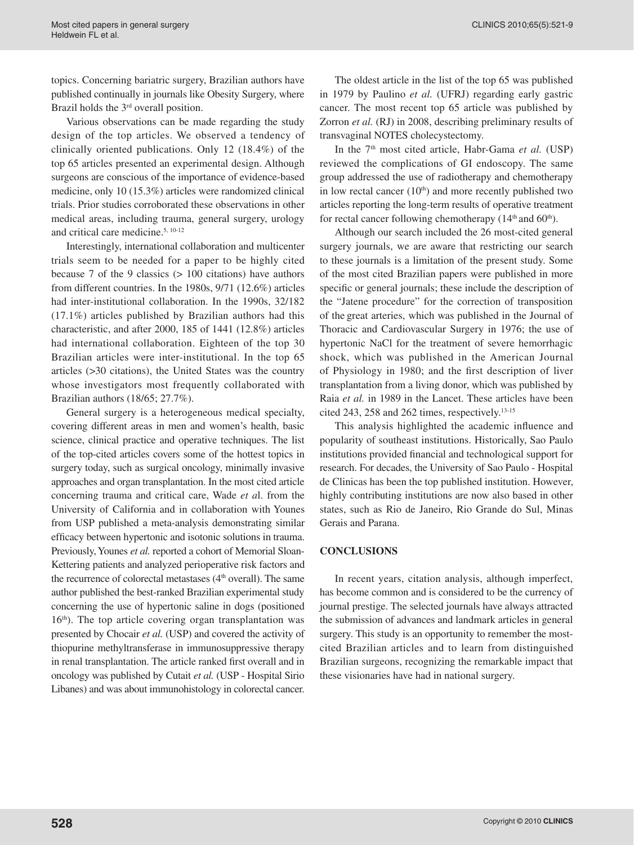topics. Concerning bariatric surgery, Brazilian authors have published continually in journals like Obesity Surgery, where Brazil holds the 3<sup>rd</sup> overall position.

Various observations can be made regarding the study design of the top articles. We observed a tendency of clinically oriented publications. Only 12 (18.4%) of the top 65 articles presented an experimental design. Although surgeons are conscious of the importance of evidence-based medicine, only 10 (15.3%) articles were randomized clinical trials. Prior studies corroborated these observations in other medical areas, including trauma, general surgery, urology and critical care medicine.<sup>5, 10-12</sup>

Interestingly, international collaboration and multicenter trials seem to be needed for a paper to be highly cited because 7 of the 9 classics (> 100 citations) have authors from different countries. In the 1980s, 9/71 (12.6%) articles had inter-institutional collaboration. In the 1990s, 32/182 (17.1%) articles published by Brazilian authors had this characteristic, and after 2000, 185 of 1441 (12.8%) articles had international collaboration. Eighteen of the top 30 Brazilian articles were inter-institutional. In the top 65 articles (>30 citations), the United States was the country whose investigators most frequently collaborated with Brazilian authors (18/65; 27.7%).

General surgery is a heterogeneous medical specialty, covering different areas in men and women's health, basic science, clinical practice and operative techniques. The list of the top-cited articles covers some of the hottest topics in surgery today, such as surgical oncology, minimally invasive approaches and organ transplantation. In the most cited article concerning trauma and critical care, Wade *et a*l. from the University of California and in collaboration with Younes from USP published a meta-analysis demonstrating similar efficacy between hypertonic and isotonic solutions in trauma. Previously, Younes *et al.* reported a cohort of Memorial Sloan-Kettering patients and analyzed perioperative risk factors and the recurrence of colorectal metastases ( $4<sup>th</sup>$  overall). The same author published the best-ranked Brazilian experimental study concerning the use of hypertonic saline in dogs (positioned  $16<sup>th</sup>$ ). The top article covering organ transplantation was presented by Chocair *et al.* (USP) and covered the activity of thiopurine methyltransferase in immunosuppressive therapy in renal transplantation. The article ranked first overall and in oncology was published by Cutait *et al.* (USP - Hospital Sirio Libanes) and was about immunohistology in colorectal cancer.

The oldest article in the list of the top 65 was published in 1979 by Paulino *et al.* (UFRJ) regarding early gastric cancer. The most recent top 65 article was published by Zorron *et al.* (RJ) in 2008, describing preliminary results of transvaginal NOTES cholecystectomy.

In the 7<sup>th</sup> most cited article, Habr-Gama et al. (USP) reviewed the complications of GI endoscopy. The same group addressed the use of radiotherapy and chemotherapy in low rectal cancer  $(10<sup>th</sup>)$  and more recently published two articles reporting the long-term results of operative treatment for rectal cancer following chemotherapy  $(14<sup>th</sup>$  and  $60<sup>th</sup>)$ .

Although our search included the 26 most-cited general surgery journals, we are aware that restricting our search to these journals is a limitation of the present study. Some of the most cited Brazilian papers were published in more specific or general journals; these include the description of the "Jatene procedure" for the correction of transposition of the great arteries, which was published in the Journal of Thoracic and Cardiovascular Surgery in 1976; the use of hypertonic NaCl for the treatment of severe hemorrhagic shock, which was published in the American Journal of Physiology in 1980; and the first description of liver transplantation from a living donor, which was published by Raia *et al.* in 1989 in the Lancet. These articles have been cited 243, 258 and 262 times, respectively.13-15

This analysis highlighted the academic influence and popularity of southeast institutions. Historically, Sao Paulo institutions provided financial and technological support for research. For decades, the University of Sao Paulo - Hospital de Clinicas has been the top published institution. However, highly contributing institutions are now also based in other states, such as Rio de Janeiro, Rio Grande do Sul, Minas Gerais and Parana.

## **CONCLUSIONS**

In recent years, citation analysis, although imperfect, has become common and is considered to be the currency of journal prestige. The selected journals have always attracted the submission of advances and landmark articles in general surgery. This study is an opportunity to remember the mostcited Brazilian articles and to learn from distinguished Brazilian surgeons, recognizing the remarkable impact that these visionaries have had in national surgery.